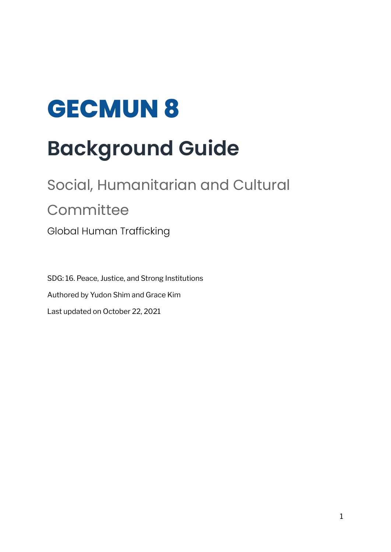# **GECMUN 8 Background Guide**

# Social, Humanitarian and Cultural **Committee** Global Human Trafficking

SDG: 16. Peace, Justice, and Strong Institutions Authored by Yudon Shim and Grace Kim Last updated on October 22, 2021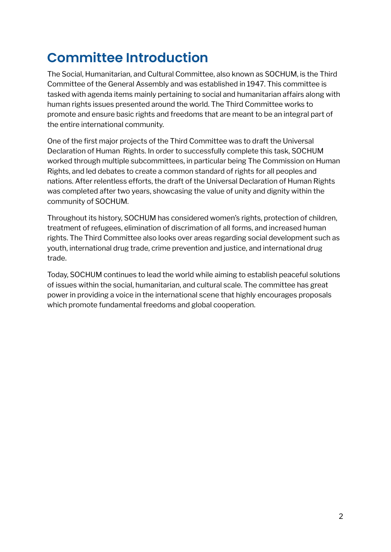# **Committee Introduction**

The Social, Humanitarian, and Cultural Committee, also known as SOCHUM, is the Third Committee of the General Assembly and was established in 1947. This committee is tasked with agenda items mainly pertaining to social and humanitarian affairs along with human rights issues presented around the world. The Third Committee works to promote and ensure basic rights and freedoms that are meant to be an integral part of the entire international community.

One of the first major projects of the Third Committee was to draft the Universal Declaration of Human Rights. In order to successfully complete this task, SOCHUM worked through multiple subcommittees, in particular being The Commission on Human Rights, and led debates to create a common standard of rights for all peoples and nations. After relentless efforts, the draft of the Universal Declaration of Human Rights was completed after two years, showcasing the value of unity and dignity within the community of SOCHUM.

Throughout its history, SOCHUM has considered women's rights, protection of children, treatment of refugees, elimination of discrimation of all forms, and increased human rights. The Third Committee also looks over areas regarding social development such as youth, international drug trade, crime prevention and justice, and international drug trade.

Today, SOCHUM continues to lead the world while aiming to establish peaceful solutions of issues within the social, humanitarian, and cultural scale. The committee has great power in providing a voice in the international scene that highly encourages proposals which promote fundamental freedoms and global cooperation.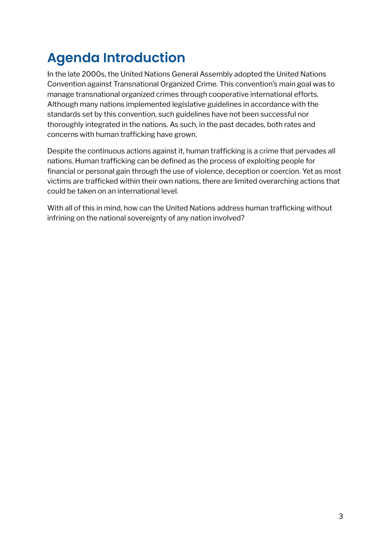# **Agenda Introduction**

In the late 2000s, the United Nations General Assembly adopted the United Nations Convention against Transnational Organized Crime. This convention's main goal was to manage transnational organized crimes through cooperative international efforts. Although many nations implemented legislative guidelines in accordance with the standards set by this convention, such guidelines have not been successful nor thoroughly integrated in the nations. As such, in the past decades, both rates and concerns with human trafficking have grown.

Despite the continuous actions against it, human trafficking is a crime that pervades all nations. Human trafficking can be defined as the process of exploiting people for financial or personal gain through the use of violence, deception or coercion. Yet as most victims are trafficked within their own nations, there are limited overarching actions that could be taken on an international level.

With all of this in mind, how can the United Nations address human trafficking without infrining on the national sovereignty of any nation involved?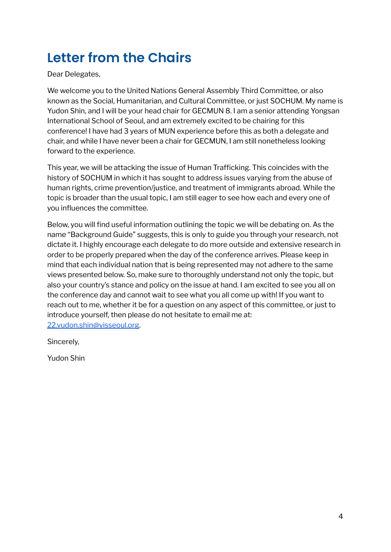# **Letter from the Chairs**

Dear Delegates,

We welcome you to the United Nations General Assembly Third Committee, or also known as the Social, Humanitarian, and Cultural Committee, or just SOCHUM. My name is Yudon Shin, and I will be your head chair for GECMUN 8. I am a senior attending Yongsan International School of Seoul, and am extremely excited to be chairing for this conference! I have had 3 years of MUN experience before this as both a delegate and chair, and while I have never been a chair for GECMUN, I am still nonetheless looking forward to the experience.

This year, we will be attacking the issue of Human Trafficking. This coincides with the history of SOCHUM in which it has sought to address issues varying from the abuse of human rights, crime prevention/justice, and treatment of immigrants abroad. While the topic is broader than the usual topic, I am still eager to see how each and every one of you influences the committee.

Below, you will find useful information outlining the topic we will be debating on. As the name "Background Guide" suggests, this is only to guide you through your research, not dictate it. I highly encourage each delegate to do more outside and extensive research in order to be properly prepared when the day of the conference arrives. Please keep in mind that each individual nation that is being represented may not adhere to the same views presented below. So, make sure to thoroughly understand not only the topic, but also your country's stance and policy on the issue at hand. I am excited to see you all on the conference day and cannot wait to see what you all come up with! If you want to reach out to me, whether it be for a question on any aspect of this committee, or just to introduce yourself, then please do not hesitate to email me at: [22.yudon.shin@yisseoul.org](mailto:22.yudon.shin@yisseoul.org).

Sincerely,

Yudon Shin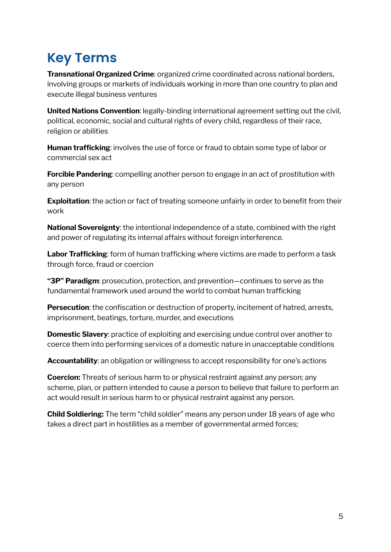# **Key Terms**

**Transnational Organized Crime**: organized crime coordinated across national borders, involving groups or markets of individuals working in more than one country to plan and execute illegal business ventures

**United Nations Convention**: legally-binding international agreement setting out the civil, political, economic, social and cultural rights of every child, regardless of their race, religion or abilities

**Human trafficking**: involves the use of force or fraud to obtain some type of labor or commercial sex act

**Forcible Pandering**: compelling another person to engage in an act of prostitution with any person

**Exploitation**: the action or fact of treating someone unfairly in order to benefit from their work

**National Sovereignty**: the intentional independence of a state, combined with the right and power of regulating its internal affairs without foreign interference.

**Labor Trafficking**: form of human trafficking where victims are made to perform a task through force, fraud or coercion

**"3P" Paradigm**: prosecution, protection, and prevention—continues to serve as the fundamental framework used around the world to combat human trafficking

**Persecution**: the confiscation or destruction of property, incitement of hatred, arrests, imprisonment, beatings, torture, murder, and executions

**Domestic Slavery**: practice of exploiting and exercising undue control over another to coerce them into performing services of a domestic nature in unacceptable conditions

**Accountability**: an obligation or willingness to accept responsibility for one's actions

**Coercion:** Threats of serious harm to or physical restraint against any person; any scheme, plan, or pattern intended to cause a person to believe that failure to perform an act would result in serious harm to or physical restraint against any person.

**Child Soldiering:** The term "child soldier" means any person under 18 years of age who takes a direct part in hostilities as a member of governmental armed forces;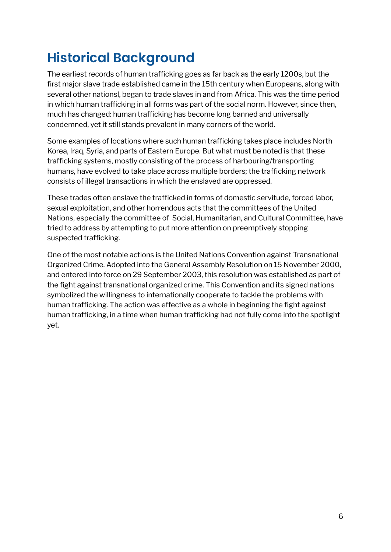# **Historical Background**

The earliest records of human trafficking goes as far back as the early 1200s, but the first major slave trade established came in the 15th century when Europeans, along with several other nationsl, began to trade slaves in and from Africa. This was the time period in which human trafficking in all forms was part of the social norm. However, since then, much has changed: human trafficking has become long banned and universally condemned, yet it still stands prevalent in many corners of the world.

Some examples of locations where such human trafficking takes place includes North Korea, Iraq, Syria, and parts of Eastern Europe. But what must be noted is that these trafficking systems, mostly consisting of the process of harbouring/transporting humans, have evolved to take place across multiple borders; the trafficking network consists of illegal transactions in which the enslaved are oppressed.

These trades often enslave the trafficked in forms of domestic servitude, forced labor, sexual exploitation, and other horrendous acts that the committees of the United Nations, especially the committee of Social, Humanitarian, and Cultural Committee, have tried to address by attempting to put more attention on preemptively stopping suspected trafficking.

One of the most notable actions is the United Nations Convention against Transnational Organized Crime. Adopted into the General Assembly Resolution on 15 November 2000, and entered into force on 29 September 2003, this resolution was established as part of the fight against transnational organized crime. This Convention and its signed nations symbolized the willingness to internationally cooperate to tackle the problems with human trafficking. The action was effective as a whole in beginning the fight against human trafficking, in a time when human trafficking had not fully come into the spotlight yet.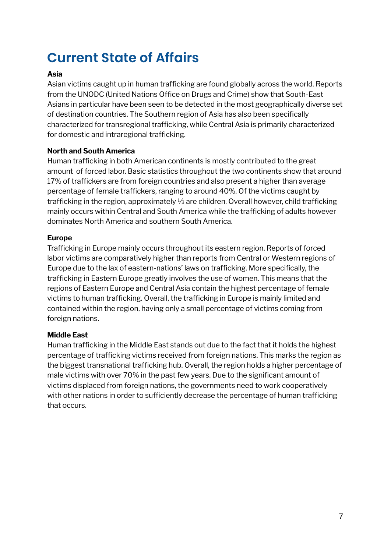# **Current State of Affairs**

#### **Asia**

Asian victims caught up in human trafficking are found globally across the world. Reports from the UNODC (United [Nations](https://www.unodc.org/) Office on Drugs and Crime) show that South-East Asians in particular have been seen to be detected in the most geographically diverse set of destination countries. The Southern region of Asia has also been specifically characterized for transregional trafficking, while Central Asia is primarily characterized for domestic and intraregional trafficking.

#### **North and South America**

Human trafficking in both American continents is mostly contributed to the great amount of forced labor. Basic statistics throughout the two continents show that around 17% of traffickers are from foreign countries and also present a higher than average percentage of female traffickers, ranging to around 40%. Of the victims caught by trafficking in the region, approximately ⅓ are children. Overall however, child trafficking mainly occurs within Central and South America while the trafficking of adults however dominates North America and southern South America.

#### **Europe**

Trafficking in Europe mainly occurs throughout its eastern region. Reports of forced labor victims are comparatively higher than reports from Central or Western regions of Europe due to the lax of eastern-nations' laws on trafficking. More specifically, the trafficking in Eastern Europe greatly involves the use of women. This means that the regions of Eastern Europe and Central Asia contain the highest percentage of female victims to human trafficking. Overall, the trafficking in Europe is mainly limited and contained within the region, having only a small percentage of victims coming from foreign nations.

#### **Middle East**

Human trafficking in the Middle East stands out due to the fact that it holds the highest percentage of trafficking victims received from foreign nations. This marks the region as the biggest transnational trafficking hub. Overall, the region holds a higher percentage of male victims with over 70% in the past few years. Due to the significant amount of victims displaced from foreign nations, the governments need to work cooperatively with other nations in order to sufficiently decrease the percentage of human trafficking that occurs.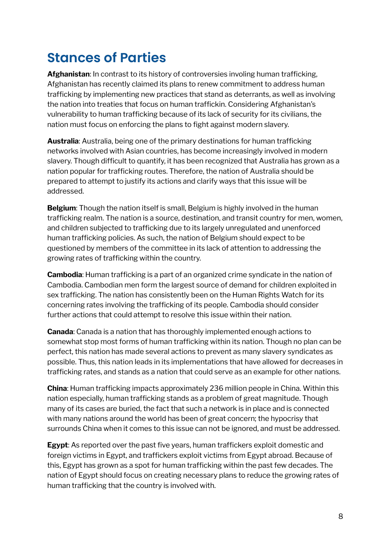### **Stances of Parties**

**Afghanistan**: In contrast to its history of controversies involing human trafficking, Afghanistan has recently claimed its plans to renew commitment to address human trafficking by implementing new practices that stand as deterrants, as well as involving the nation into treaties that focus on human traffickin. Considering Afghanistan's vulnerability to human trafficking because of its lack of security for its civilians, the nation must focus on enforcing the plans to fight against modern slavery.

**Australia**: Australia, being one of the primary destinations for human trafficking networks involved with Asian countries, has become increasingly involved in modern slavery. Though difficult to quantify, it has been recognized that Australia has grown as a nation popular for trafficking routes. Therefore, the nation of Australia should be prepared to attempt to justify its actions and clarify ways that this issue will be addressed.

**Belgium**: Though the nation itself is small, Belgium is highly involved in the human trafficking realm. The nation is a source, destination, and transit country for men, women, and children subjected to trafficking due to its largely unregulated and unenforced human trafficking policies. As such, the nation of Belgium should expect to be questioned by members of the committee in its lack of attention to addressing the growing rates of trafficking within the country.

**Cambodia**: Human trafficking is a part of an organized crime syndicate in the nation of Cambodia. Cambodian men form the largest source of demand for children exploited in sex trafficking. The nation has consistently been on the Human Rights Watch for its concerning rates involving the trafficking of its people. Cambodia should consider further actions that could attempt to resolve this issue within their nation.

**Canada**: Canada is a nation that has thoroughly implemented enough actions to somewhat stop most forms of human trafficking within its nation. Though no plan can be perfect, this nation has made several actions to prevent as many slavery syndicates as possible. Thus, this nation leads in its implementations that have allowed for decreases in trafficking rates, and stands as a nation that could serve as an example for other nations.

**China**: Human trafficking impacts approximately 236 million people in China. Within this nation especially, human trafficking stands as a problem of great magnitude. Though many of its cases are buried, the fact that such a network is in place and is connected with many nations around the world has been of great concern; the hypocrisy that surrounds China when it comes to this issue can not be ignored, and must be addressed.

**Egypt**: As reported over the past five years, human traffickers exploit domestic and foreign victims in Egypt, and traffickers exploit victims from Egypt abroad. Because of this, Egypt has grown as a spot for human trafficking within the past few decades. The nation of Egypt should focus on creating necessary plans to reduce the growing rates of human trafficking that the country is involved with.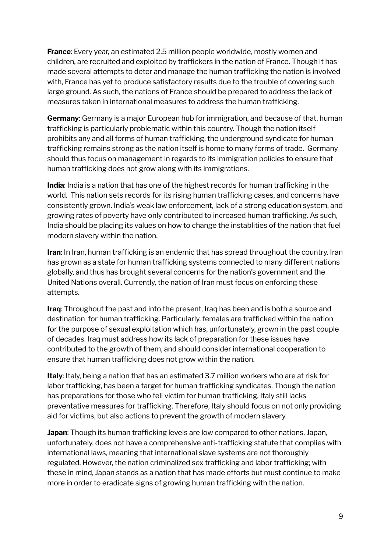**France**: Every year, an estimated 2.5 million people worldwide, mostly women and children, are recruited and exploited by traffickers in the nation of France. Though it has made several attempts to deter and manage the human trafficking the nation is involved with, France has yet to produce satisfactory results due to the trouble of covering such large ground. As such, the nations of France should be prepared to address the lack of measures taken in international measures to address the human trafficking.

**Germany**: Germany is a major European hub for immigration, and because of that, human trafficking is particularly problematic within this country. Though the nation itself prohibits any and all forms of human trafficking, the underground syndicate for human trafficking remains strong as the nation itself is home to many forms of trade. Germany should thus focus on management in regards to its immigration policies to ensure that human trafficking does not grow along with its immigrations.

**India**: India is a nation that has one of the highest records for human trafficking in the world. This nation sets records for its rising human trafficking cases, and concerns have consistently grown. India's weak law enforcement, lack of a strong education system, and growing rates of poverty have only contributed to increased human trafficking. As such, India should be placing its values on how to change the instablities of the nation that fuel modern slavery within the nation.

**Iran**: In Iran, human trafficking is an endemic that has spread throughout the country. Iran has grown as a state for human trafficking systems connected to many different nations globally, and thus has brought several concerns for the nation's government and the United Nations overall. Currently, the nation of Iran must focus on enforcing these attempts.

**Iraq**: Throughout the past and into the present, Iraq has been and is both a source and destination for human trafficking. Particularly, females are trafficked within the nation for the purpose of sexual exploitation which has, unfortunately, grown in the past couple of decades. Iraq must address how its lack of preparation for these issues have contributed to the growth of them, and should consider international cooperation to ensure that human trafficking does not grow within the nation.

**Italy**: Italy, being a nation that has an estimated 3.7 million workers who are at risk for labor trafficking, has been a target for human trafficking syndicates. Though the nation has preparations for those who fell victim for human trafficking, Italy still lacks preventative measures for trafficking. Therefore, Italy should focus on not only providing aid for victims, but also actions to prevent the growth of modern slavery.

**Japan**: Though its human trafficking levels are low compared to other nations, Japan, unfortunately, does not have a comprehensive anti-trafficking statute that complies with international laws, meaning that international slave systems are not thoroughly regulated. However, the nation criminalized sex trafficking and labor trafficking; with these in mind, Japan stands as a nation that has made efforts but must continue to make more in order to eradicate signs of growing human trafficking with the nation.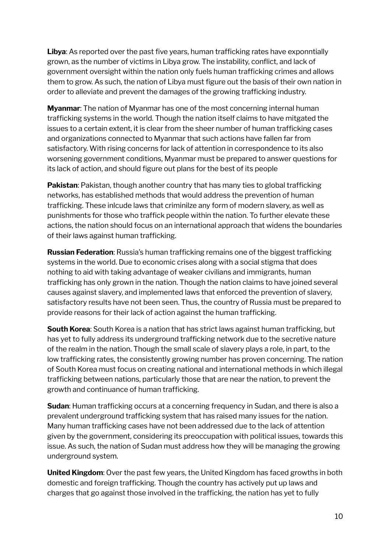**Libya**: As reported over the past five years, human trafficking rates have exponntially grown, as the number of victims in Libya grow. The instability, conflict, and lack of government oversight within the nation only fuels human trafficking crimes and allows them to grow. As such, the nation of Libya must figure out the basis of their own nation in order to alleviate and prevent the damages of the growing trafficking industry.

**Myanmar**: The nation of Myanmar has one of the most concerning internal human trafficking systems in the world. Though the nation itself claims to have mitgated the issues to a certain extent, it is clear from the sheer number of human trafficking cases and organizations connected to Myanmar that such actions have fallen far from satisfactory. With rising concerns for lack of attention in correspondence to its also worsening government conditions, Myanmar must be prepared to answer questions for its lack of action, and should figure out plans for the best of its people

**Pakistan**: Pakistan, though another country that has many ties to global trafficking networks, has established methods that would address the prevention of human trafficking. These inlcude laws that criminilze any form of modern slavery, as well as punishments for those who traffick people within the nation. To further elevate these actions, the nation should focus on an international approach that widens the boundaries of their laws against human trafficking.

**Russian Federation**: Russia's human trafficking remains one of the biggest trafficking systems in the world. Due to economic crises along with a social stigma that does nothing to aid with taking advantage of weaker civilians and immigrants, human trafficking has only grown in the nation. Though the nation claims to have joined several causes against slavery, and implemented laws that enforced the prevention of slavery, satisfactory results have not been seen. Thus, the country of Russia must be prepared to provide reasons for their lack of action against the human trafficking.

**South Korea**: South Korea is a nation that has strict laws against human trafficking, but has yet to fully address its underground trafficking network due to the secretive nature of the realm in the nation. Though the small scale of slavery plays a role, in part, to the low trafficking rates, the consistently growing number has proven concerning. The nation of South Korea must focus on creating national and international methods in which illegal trafficking between nations, particularly those that are near the nation, to prevent the growth and continuance of human trafficking.

**Sudan**: Human trafficking occurs at a concerning frequency in Sudan, and there is also a prevalent underground trafficking system that has raised many issues for the nation. Many human trafficking cases have not been addressed due to the lack of attention given by the government, considering its preoccupation with political issues, towards this issue. As such, the nation of Sudan must address how they will be managing the growing underground system.

**United Kingdom**: Over the past few years, the United Kingdom has faced growths in both domestic and foreign trafficking. Though the country has actively put up laws and charges that go against those involved in the trafficking, the nation has yet to fully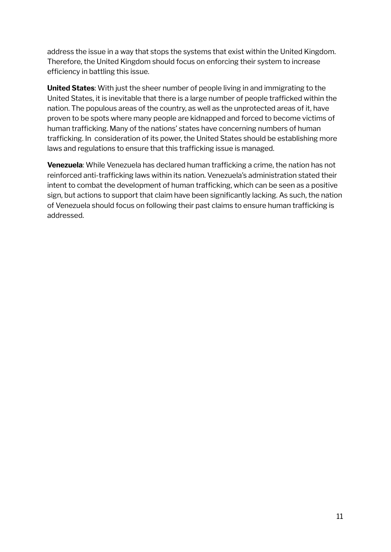address the issue in a way that stops the systems that exist within the United Kingdom. Therefore, the United Kingdom should focus on enforcing their system to increase efficiency in battling this issue.

**United States**: With just the sheer number of people living in and immigrating to the United States, it is inevitable that there is a large number of people trafficked within the nation. The populous areas of the country, as well as the unprotected areas of it, have proven to be spots where many people are kidnapped and forced to become victims of human trafficking. Many of the nations' states have concerning numbers of human trafficking. In consideration of its power, the United States should be establishing more laws and regulations to ensure that this trafficking issue is managed.

**Venezuela**: While Venezuela has declared human trafficking a crime, the nation has not reinforced anti-trafficking laws within its nation. Venezuela's administration stated their intent to combat the development of human trafficking, which can be seen as a positive sign, but actions to support that claim have been significantly lacking. As such, the nation of Venezuela should focus on following their past claims to ensure human trafficking is addressed.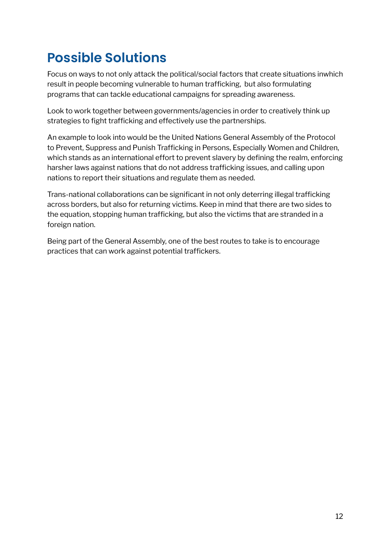# **Possible Solutions**

Focus on ways to not only attack the political/social factors that create situations inwhich result in people becoming vulnerable to human trafficking, but also formulating programs that can tackle educational campaigns for spreading awareness.

Look to work together between governments/agencies in order to creatively think up strategies to fight trafficking and effectively use the partnerships.

An example to look into would be the United Nations General Assembly of the Protocol to Prevent, Suppress and Punish Trafficking in Persons, Especially Women and Children, which stands as an international effort to prevent slavery by defining the realm, enforcing harsher laws against nations that do not address trafficking issues, and calling upon nations to report their situations and regulate them as needed.

Trans-national collaborations can be significant in not only deterring illegal trafficking across borders, but also for returning victims. Keep in mind that there are two sides to the equation, stopping human trafficking, but also the victims that are stranded in a foreign nation.

Being part of the General Assembly, one of the best routes to take is to encourage practices that can work against potential traffickers.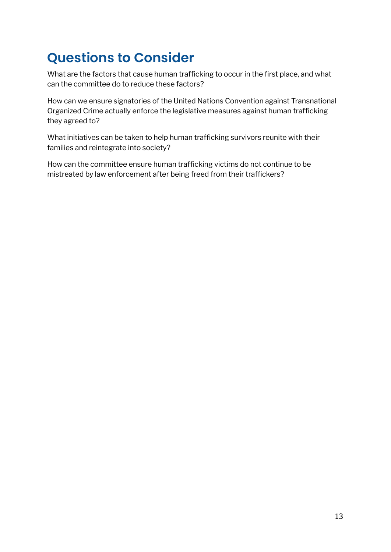# **Questions to Consider**

What are the factors that cause human trafficking to occur in the first place, and what can the committee do to reduce these factors?

How can we ensure signatories of the United Nations Convention against Transnational Organized Crime actually enforce the legislative measures against human trafficking they agreed to?

What initiatives can be taken to help human trafficking survivors reunite with their families and reintegrate into society?

How can the committee ensure human trafficking victims do not continue to be mistreated by law enforcement after being freed from their traffickers?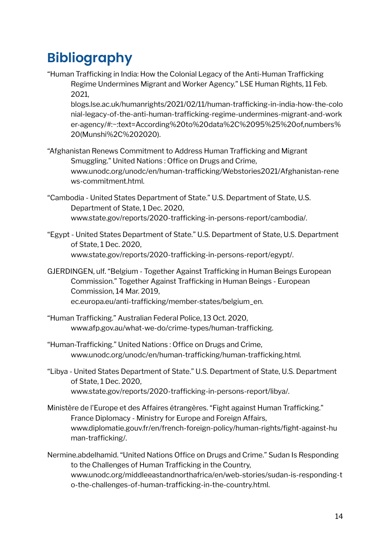# **Bibliography**

"Human Trafficking in India: How the Colonial Legacy of the Anti-Human Trafficking Regime Undermines Migrant and Worker Agency." LSE Human Rights, 11 Feb. 2021,

blogs.lse.ac.uk/humanrights/2021/02/11/human-trafficking-in-india-how-the-colo nial-legacy-of-the-anti-human-trafficking-regime-undermines-migrant-and-work er-agency/#:~:text=According%20to%20data%2C%2095%25%20of,numbers% 20(Munshi%2C%202020).

- "Afghanistan Renews Commitment to Address Human Trafficking and Migrant Smuggling." United Nations : Office on Drugs and Crime, www.unodc.org/unodc/en/human-trafficking/Webstories2021/Afghanistan-rene ws-commitment.html.
- "Cambodia United States Department of State." U.S. Department of State, U.S. Department of State, 1 Dec. 2020, www.state.gov/reports/2020-trafficking-in-persons-report/cambodia/.
- "Egypt United States Department of State." U.S. Department of State, U.S. Department of State, 1 Dec. 2020, www.state.gov/reports/2020-trafficking-in-persons-report/egypt/.
- GJERDINGEN, ulf. "Belgium Together Against Trafficking in Human Beings European Commission." Together Against Trafficking in Human Beings - European Commission, 14 Mar. 2019, ec.europa.eu/anti-trafficking/member-states/belgium\_en.
- "Human Trafficking." Australian Federal Police, 13 Oct. 2020, www.afp.gov.au/what-we-do/crime-types/human-trafficking.
- "Human-Trafficking." United Nations : Office on Drugs and Crime, www.unodc.org/unodc/en/human-trafficking/human-trafficking.html.
- "Libya United States Department of State." U.S. Department of State, U.S. Department of State, 1 Dec. 2020, www.state.gov/reports/2020-trafficking-in-persons-report/libya/.
- Ministère de l'Europe et des Affaires étrangères. "Fight against Human Trafficking." France Diplomacy - Ministry for Europe and Foreign Affairs, www.diplomatie.gouv.fr/en/french-foreign-policy/human-rights/fight-against-hu man-trafficking/.
- Nermine.abdelhamid. "United Nations Office on Drugs and Crime." Sudan Is Responding to the Challenges of Human Trafficking in the Country, www.unodc.org/middleeastandnorthafrica/en/web-stories/sudan-is-responding-t o-the-challenges-of-human-trafficking-in-the-country.html.